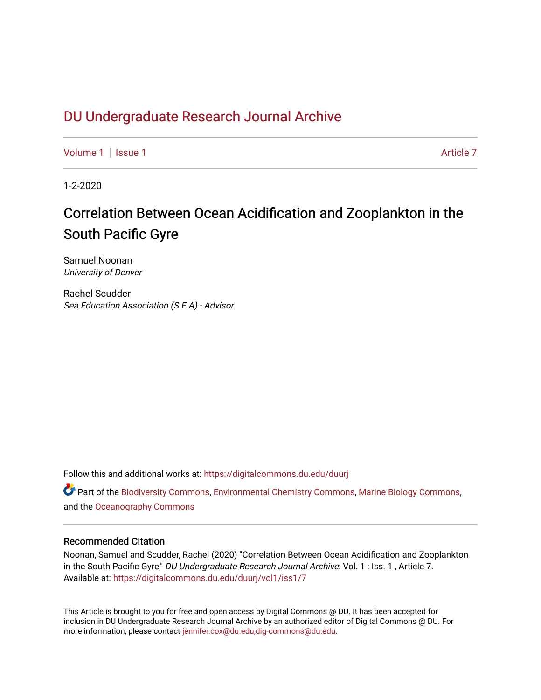# DU Undergr[aduate Research Journal Ar](https://digitalcommons.du.edu/duurj)chive

[Volume 1](https://digitalcommons.du.edu/duurj/vol1) | [Issue 1](https://digitalcommons.du.edu/duurj/vol1/iss1) Article 7

1-2-2020

# Correlation Between Ocean Acidification and Zooplankton in the South Pacific Gyre

Samuel Noonan University of Denver

Rachel Scudder Sea Education Association (S.E.A) - Advisor

Follow this and additional works at: [https://digitalcommons.du.edu/duurj](https://digitalcommons.du.edu/duurj?utm_source=digitalcommons.du.edu%2Fduurj%2Fvol1%2Fiss1%2F7&utm_medium=PDF&utm_campaign=PDFCoverPages) 

 $\bullet$  Part of the [Biodiversity Commons](http://network.bepress.com/hgg/discipline/1127?utm_source=digitalcommons.du.edu%2Fduurj%2Fvol1%2Fiss1%2F7&utm_medium=PDF&utm_campaign=PDFCoverPages), [Environmental Chemistry Commons,](http://network.bepress.com/hgg/discipline/134?utm_source=digitalcommons.du.edu%2Fduurj%2Fvol1%2Fiss1%2F7&utm_medium=PDF&utm_campaign=PDFCoverPages) [Marine Biology Commons,](http://network.bepress.com/hgg/discipline/1126?utm_source=digitalcommons.du.edu%2Fduurj%2Fvol1%2Fiss1%2F7&utm_medium=PDF&utm_campaign=PDFCoverPages) and the [Oceanography Commons](http://network.bepress.com/hgg/discipline/191?utm_source=digitalcommons.du.edu%2Fduurj%2Fvol1%2Fiss1%2F7&utm_medium=PDF&utm_campaign=PDFCoverPages)

### Recommended Citation

Noonan, Samuel and Scudder, Rachel (2020) "Correlation Between Ocean Acidification and Zooplankton in the South Pacific Gyre," DU Undergraduate Research Journal Archive: Vol. 1 : Iss. 1, Article 7. Available at: [https://digitalcommons.du.edu/duurj/vol1/iss1/7](https://digitalcommons.du.edu/duurj/vol1/iss1/7?utm_source=digitalcommons.du.edu%2Fduurj%2Fvol1%2Fiss1%2F7&utm_medium=PDF&utm_campaign=PDFCoverPages) 

This Article is brought to you for free and open access by Digital Commons @ DU. It has been accepted for inclusion in DU Undergraduate Research Journal Archive by an authorized editor of Digital Commons @ DU. For more information, please contact [jennifer.cox@du.edu,dig-commons@du.edu.](mailto:jennifer.cox@du.edu,dig-commons@du.edu)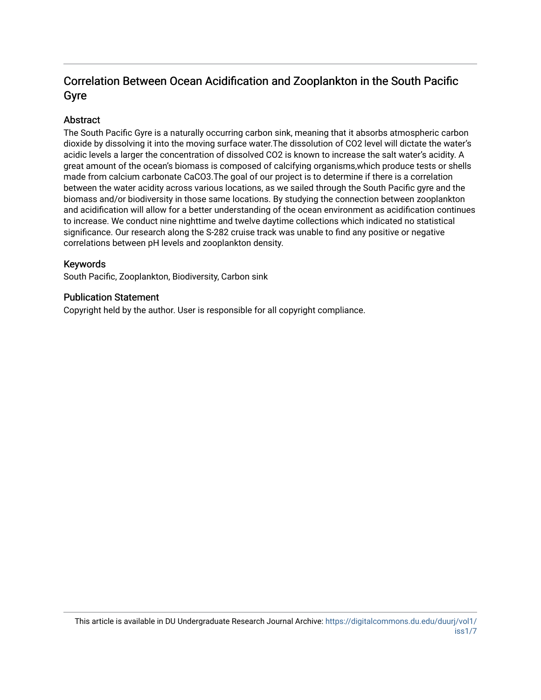# Correlation Between Ocean Acidification and Zooplankton in the South Pacific Gyre

# Abstract

The South Pacific Gyre is a naturally occurring carbon sink, meaning that it absorbs atmospheric carbon dioxide by dissolving it into the moving surface water.The dissolution of CO2 level will dictate the water's acidic levels a larger the concentration of dissolved CO2 is known to increase the salt water's acidity. A great amount of the ocean's biomass is composed of calcifying organisms,which produce tests or shells made from calcium carbonate CaCO3.The goal of our project is to determine if there is a correlation between the water acidity across various locations, as we sailed through the South Pacific gyre and the biomass and/or biodiversity in those same locations. By studying the connection between zooplankton and acidification will allow for a better understanding of the ocean environment as acidification continues to increase. We conduct nine nighttime and twelve daytime collections which indicated no statistical significance. Our research along the S-282 cruise track was unable to find any positive or negative correlations between pH levels and zooplankton density.

## Keywords

South Pacific, Zooplankton, Biodiversity, Carbon sink

## Publication Statement

Copyright held by the author. User is responsible for all copyright compliance.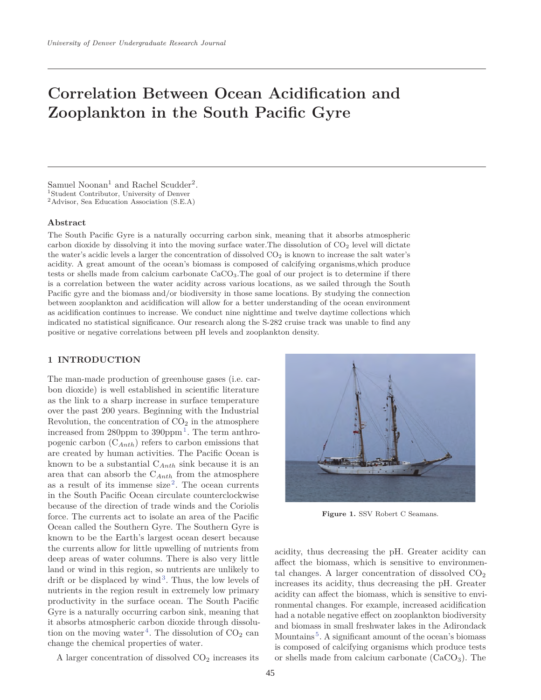# **Correlation Between Ocean Acidification and Zooplankton in the South Pacific Gyre**

Samuel Noonan<sup>1</sup> and Rachel Scudder<sup>2</sup>.<br><sup>1</sup>Student Contributor, University of Denver <sup>2</sup>Advisor, Sea Education Association (S.E.A)

#### **Abstract**

The South Pacific Gyre is a naturally occurring carbon sink, meaning that it absorbs atmospheric carbon dioxide by dissolving it into the moving surface water. The dissolution of  $CO<sub>2</sub>$  level will dictate the water's acidic levels a larger the concentration of dissolved  $CO<sub>2</sub>$  is known to increase the salt water's acidity. A great amount of the ocean's biomass is composed of calcifying organisms,which produce tests or shells made from calcium carbonate CaCO3.The goal of our project is to determine if there is a correlation between the water acidity across various locations, as we sailed through the South Pacific gyre and the biomass and/or biodiversity in those same locations. By studying the connection between zooplankton and acidification will allow for a better understanding of the ocean environment as acidification continues to increase. We conduct nine nighttime and twelve daytime collections which indicated no statistical significance. Our research along the S-282 cruise track was unable to find any positive or negative correlations between pH levels and zooplankton density.

### **1 INTRODUCTION**

The man-made production of greenhouse gases (i.e. carbon dioxide) is well established in scientific literature as the link to a sharp increase in surface temperature over the past 200 years. Beginning with the Industrial Revolution, the concentration of  $CO<sub>2</sub>$  in the atmosphere increased from 280ppm to  $390$ ppm<sup>1</sup>. The term anthropogenic carbon (C*Anth*) refers to carbon emissions that are created by human activities. The Pacific Ocean is known to be a substantial C*Anth* sink because it is an area that can absorb the C*Anth* from the atmosphere as a result of its immense size<sup>2</sup>. The ocean currents in the South Pacific Ocean circulate counterclockwise because of the direction of trade winds and the Coriolis force. The currents act to isolate an area of the Pacific Ocean called the Southern Gyre. The Southern Gyre is known to be the Earth's largest ocean desert because the currents allow for little upwelling of nutrients from deep areas of water columns. There is also very little land or wind in this region, so nutrients are unlikely to drift or be displaced by wind<sup>3</sup>. Thus, the low levels of nutrients in the region result in extremely low primary productivity in the surface ocean. The South Pacific Gyre is a naturally occurring carbon sink, meaning that it absorbs atmospheric carbon dioxide through dissolution on the moving water<sup>4</sup>. The dissolution of  $CO<sub>2</sub>$  can change the chemical properties of water.

A larger concentration of dissolved  $CO<sub>2</sub>$  increases its



**Figure 1.** SSV Robert C Seamans.

acidity, thus decreasing the pH. Greater acidity can affect the biomass, which is sensitive to environmental changes. A larger concentration of dissolved  $CO<sub>2</sub>$ increases its acidity, thus decreasing the pH. Greater acidity can affect the biomass, which is sensitive to environmental changes. For example, increased acidification had a notable negative effect on zooplankton biodiversity and biomass in small freshwater lakes in the Adirondack Mountains<sup>5</sup>. A significant amount of the ocean's biomass is composed of calcifying organisms which produce tests or shells made from calcium carbonate  $(CaCO<sub>3</sub>)$ . The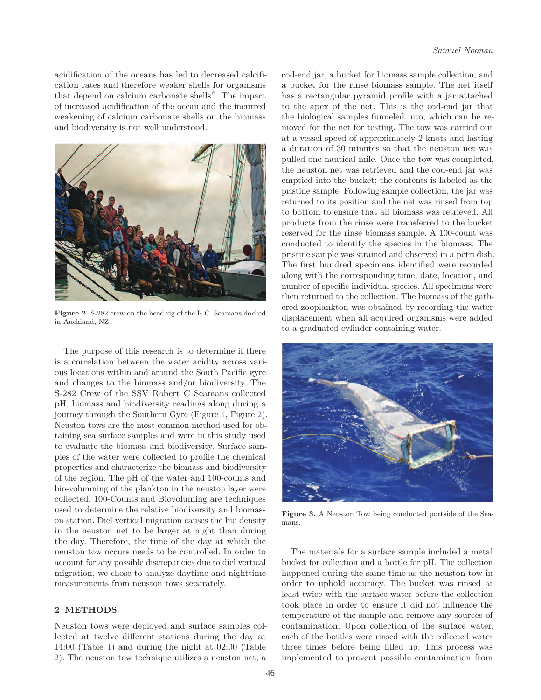acidification of the oceans has led to decreased calcification rates and therefore weaker shells for organisms that depend on calcium carbonate shells<sup>6</sup>. The impact of increased acidification of the ocean and the incurred weakening of calcium carbonate shells on the biomass and biodiversity is not well understood.



**Figure 2.** S-282 crew on the head rig of the R.C. Seamans docked in Auckland, NZ.

The purpose of this research is to determine if there is a correlation between the water acidity across various locations within and around the South Pacific gyre and changes to the biomass and/or biodiversity. The S-282 Crew of the SSV Robert C Seamans collected pH, biomass and biodiversity readings along during a journey through the Southern Gyre (Figure 1, Figure 2). Neuston tows are the most common method used for obtaining sea surface samples and were in this study used to evaluate the biomass and biodiversity. Surface samples of the water were collected to profile the chemical properties and characterize the biomass and biodiversity of the region. The pH of the water and 100-counts and bio-volumning of the plankton in the neuston layer were collected. 100-Counts and Biovoluming are techniques used to determine the relative biodiversity and biomass on station. Diel vertical migration causes the bio density in the neuston net to be larger at night than during the day. Therefore, the time of the day at which the neuston tow occurs needs to be controlled. In order to account for any possible discrepancies due to diel vertical migration, we chose to analyze daytime and nighttime measurements from neuston tows separately.

### **2 METHODS**

Neuston tows were deployed and surface samples collected at twelve different stations during the day at 14:00 (Table 1) and during the night at 02:00 (Table 2). The neuston tow technique utilizes a neuston net, a cod-end jar, a bucket for biomass sample collection, and a bucket for the rinse biomass sample. The net itself has a rectangular pyramid profile with a jar attached to the apex of the net. This is the cod-end jar that the biological samples funneled into, which can be removed for the net for testing. The tow was carried out at a vessel speed of approximately 2 knots and lasting a duration of 30 minutes so that the neuston net was pulled one nautical mile. Once the tow was completed, the neuston net was retrieved and the cod-end jar was emptied into the bucket; the contents is labeled as the pristine sample. Following sample collection, the jar was returned to its position and the net was rinsed from top to bottom to ensure that all biomass was retrieved. All products from the rinse were transferred to the bucket reserved for the rinse biomass sample. A 100-count was conducted to identify the species in the biomass. The pristine sample was strained and observed in a petri dish. The first hundred specimens identified were recorded along with the corresponding time, date, location, and number of specific individual species. All specimens were then returned to the collection. The biomass of the gathered zooplankton was obtained by recording the water displacement when all acquired organisms were added to a graduated cylinder containing water.



**Figure 3.** A Neuston Tow being conducted portside of the Seamans.

The materials for a surface sample included a metal bucket for collection and a bottle for pH. The collection happened during the same time as the neuston tow in order to uphold accuracy. The bucket was rinsed at least twice with the surface water before the collection took place in order to ensure it did not influence the temperature of the sample and remove any sources of contamination. Upon collection of the surface water, each of the bottles were rinsed with the collected water three times before being filled up. This process was implemented to prevent possible contamination from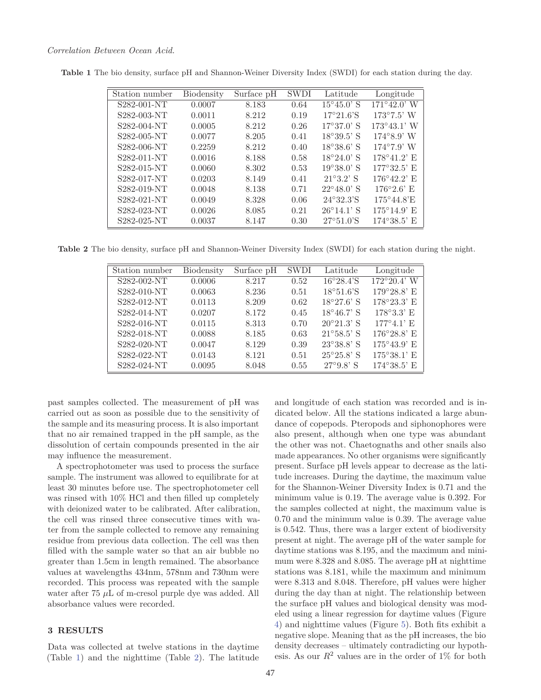| Station number | Biodensity | Surface pH | <b>SWDI</b> | Latitude                        | Longitude                        |
|----------------|------------|------------|-------------|---------------------------------|----------------------------------|
| S282-001-NT    | 0.0007     | 8.183      | 0.64        | $15^{\circ}45.0$ ' S            | $171^{\circ}42.0^{\prime}$ W     |
| S282-003-NT    | 0.0011     | 8.212      | 0.19        | $17^{\circ}21.6^{\circ}S$       | $173^{\circ}7.5^{\prime}$ W      |
| S282-004-NT    | 0.0005     | 8.212      | 0.26        | $17^{\circ}37.0$ ' S            | $173^{\circ}43.1'$ W             |
| S282-005-NT    | 0.0077     | 8.205      | 0.41        | $18^{\circ}39.5$ <sup>'</sup> S | $174^{\circ}8.9'$ W              |
| S282-006-NT    | 0.2259     | 8.212      | 0.40        | $18^{\circ}38.6^{\circ}$ S      | $174^{\circ}7.9'$ W              |
| S282-011-NT    | 0.0016     | 8.188      | 0.58        | $18^{\circ}24.0$ ' S            | $178^{\circ}41.2$ ' E            |
| S282-015-NT    | 0.0060     | 8.302      | 0.53        | $19^{\circ}38.0$ ' S            | $177^{\circ}32.5$ <sup>'</sup> E |
| S282-017-NT    | 0.0203     | 8.149      | 0.41        | $21^{\circ}3.2^{\circ}$ S       | $176^{\circ}42.2$ ' E            |
| S282-019-NT    | 0.0048     | 8.138      | 0.71        | $22^{\circ}48.0$ ' S            | $176^{\circ}2.6$ <sup>t</sup> E  |
| S282-021-NT    | 0.0049     | 8.328      | 0.06        | $24^{\circ}32.3^{\circ}S$       | $175^{\circ}44.8$ 'E             |
| S282-023-NT    | 0.0026     | 8.085      | 0.21        | $26^{\circ}14.1$ ' S            | $175^{\circ}14.9$ E              |
| S282-025-NT    | 0.0037     | 8.147      | 0.30        | $27^{\circ}51.0^{\prime}$ S     | $174^{\circ}38.5^{\circ}$ E      |

**Table 1** The bio density, surface pH and Shannon-Weiner Diversity Index (SWDI) for each station during the day.

**Table 2** The bio density, surface pH and Shannon-Weiner Diversity Index (SWDI) for each station during the night.

| Station number | Biodensity | Surface pH | SWDI | Latitude                   | Longitude                        |
|----------------|------------|------------|------|----------------------------|----------------------------------|
| S282-002-NT    | 0.0006     | 8.217      | 0.52 | $16^{\circ}28.4^{\circ}S$  | $172^{\circ}20.4$ ' W            |
| S282-010-NT    | 0.0063     | 8.236      | 0.51 | $18^{\circ}51.6^{\circ}S$  | $179^{\circ}28.8$ <sup>'</sup> E |
| S282-012-NT    | 0.0113     | 8.209      | 0.62 | $18^{\circ}27.6$ ' S       | $178^{\circ}23.3$ ' E            |
| S282-014-NT    | 0.0207     | 8.172      | 0.45 | $18^{\circ}46.7$ ' S       | $178^{\circ}3.3$ <sup>'</sup> E  |
| S282-016-NT    | 0.0115     | 8.313      | 0.70 | $20^{\circ}21.3$ ' S       | $177^{\circ}4.1'$ E              |
| S282-018-NT    | 0.0088     | 8.185      | 0.63 | $21^{\circ}58.5^{\circ}$ S | $176^{\circ}28.8$ ' E            |
| S282-020-NT    | 0.0047     | 8.129      | 0.39 | $23^{\circ}38.8$ ' S       | $175^{\circ}43.9^{\circ}$ E      |
| S282-022-NT    | 0.0143     | 8.121      | 0.51 | $25^{\circ}25.8$ ' S       | $175^{\circ}38.1'$ E             |
| S282-024-NT    | 0.0095     | 8.048      | 0.55 | $27^{\circ}9.8$ ' S        | $174^{\circ}38.5$ ' E            |

past samples collected. The measurement of pH was carried out as soon as possible due to the sensitivity of the sample and its measuring process. It is also important that no air remained trapped in the pH sample, as the dissolution of certain compounds presented in the air may influence the measurement.

A spectrophotometer was used to process the surface sample. The instrument was allowed to equilibrate for at least 30 minutes before use. The spectrophotometer cell was rinsed with 10% HCl and then filled up completely with deionized water to be calibrated. After calibration, the cell was rinsed three consecutive times with water from the sample collected to remove any remaining residue from previous data collection. The cell was then filled with the sample water so that an air bubble no greater than 1.5cm in length remained. The absorbance values at wavelengths 434nm, 578nm and 730nm were recorded. This process was repeated with the sample water after 75 *μ*L of m-cresol purple dye was added. All absorbance values were recorded.

### **3 RESULTS**

Data was collected at twelve stations in the daytime (Table 1) and the nighttime (Table 2). The latitude

and longitude of each station was recorded and is indicated below. All the stations indicated a large abundance of copepods. Pteropods and siphonophores were also present, although when one type was abundant the other was not. Chaetognaths and other snails also made appearances. No other organisms were significantly present. Surface pH levels appear to decrease as the latitude increases. During the daytime, the maximum value for the Shannon-Weiner Diversity Index is 0.71 and the minimum value is 0.19. The average value is 0.392. For the samples collected at night, the maximum value is 0.70 and the minimum value is 0.39. The average value is 0.542. Thus, there was a larger extent of biodiversity present at night. The average pH of the water sample for daytime stations was 8.195, and the maximum and minimum were 8.328 and 8.085. The average pH at nighttime stations was 8.181, while the maximum and minimum were 8.313 and 8.048. Therefore, pH values were higher during the day than at night. The relationship between the surface pH values and biological density was modeled using a linear regression for daytime values (Figure 4) and nighttime values (Figure 5). Both fits exhibit a negative slope. Meaning that as the pH increases, the bio density decreases – ultimately contradicting our hypothesis. As our  $R^2$  values are in the order of 1% for both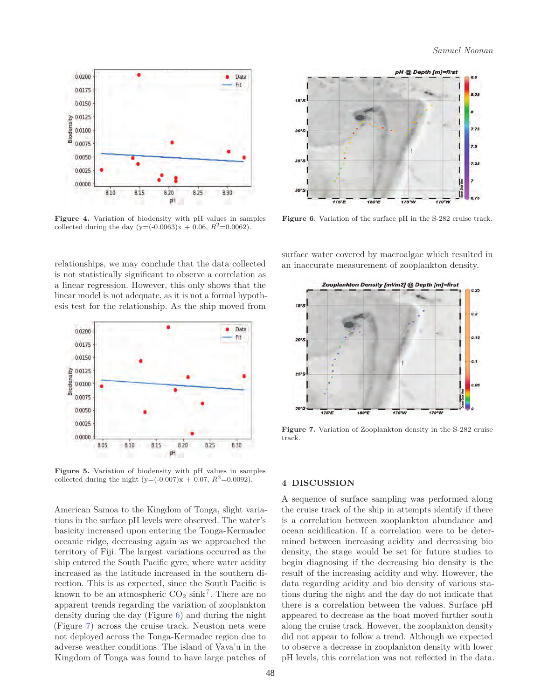

**Figure 4.** Variation of biodensity with pH values in samples collected during the day  $(y=(-0.0063)x + 0.06, R^2=(0.0062)$ .

relationships, we may conclude that the data collected is not statistically significant to observe a correlation as a linear regression. However, this only shows that the linear model is not adequate, as it is not a formal hypothesis test for the relationship. As the ship moved from



**Figure 5.** Variation of biodensity with pH values in samples collected during the night  $(y=(-0.007)x + 0.07, R^2=0.0092)$ .

American Samoa to the Kingdom of Tonga, slight variations in the surface pH levels were observed. The water's basicity increased upon entering the Tonga-Kermadec oceanic ridge, decreasing again as we approached the territory of Fiji. The largest variations occurred as the ship entered the South Pacific gyre, where water acidity increased as the latitude increased in the southern direction. This is as expected, since the South Pacific is known to be an atmospheric  $CO_2 \sinh^7$ . There are no apparent trends regarding the variation of zooplankton density during the day (Figure 6) and during the night (Figure 7) across the cruise track. Neuston nets were not deployed across the Tonga-Kermadec region due to adverse weather conditions. The island of Vava'u in the Kingdom of Tonga was found to have large patches of



**Figure 6.** Variation of the surface pH in the S-282 cruise track.

surface water covered by macroalgae which resulted in an inaccurate measurement of zooplankton density.



**Figure 7.** Variation of Zooplankton density in the S-282 cruise track.

#### **4 DISCUSSION**

A sequence of surface sampling was performed along the cruise track of the ship in attempts identify if there is a correlation between zooplankton abundance and ocean acidification. If a correlation were to be determined between increasing acidity and decreasing bio density, the stage would be set for future studies to begin diagnosing if the decreasing bio density is the result of the increasing acidity and why. However, the data regarding acidity and bio density of various stations during the night and the day do not indicate that there is a correlation between the values. Surface pH appeared to decrease as the boat moved further south along the cruise track. However, the zooplankton density did not appear to follow a trend. Although we expected to observe a decrease in zooplankton density with lower pH levels, this correlation was not reflected in the data.